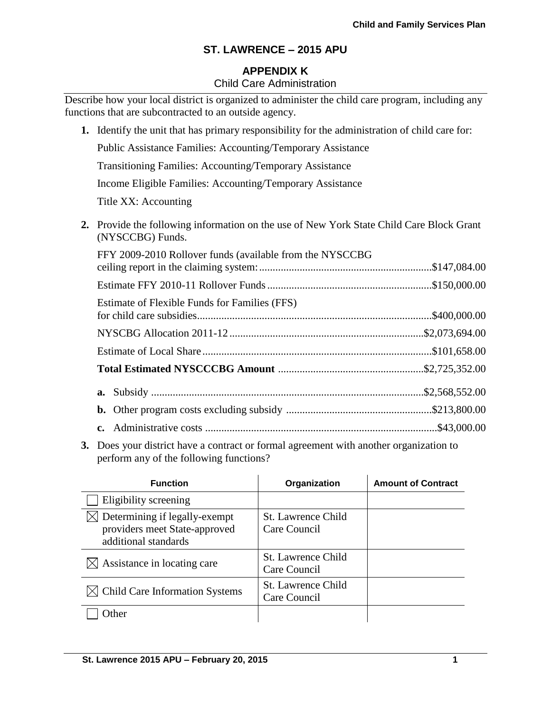## **APPENDIX K**

#### Child Care Administration

Describe how your local district is organized to administer the child care program, including any functions that are subcontracted to an outside agency.

- **1.** Identify the unit that has primary responsibility for the administration of child care for: Public Assistance Families: Accounting/Temporary Assistance Transitioning Families: Accounting/Temporary Assistance Income Eligible Families: Accounting/Temporary Assistance Title XX: Accounting **2.** Provide the following information on the use of New York State Child Care Block Grant (NYSCCBG) Funds. FFY 2009-2010 Rollover funds (available from the NYSCCBG ceiling report in the claiming system:................................................................\$147,084.00 Estimate FFY 2010-11 Rollover Funds.............................................................\$150,000.00
	- Estimate of Flexible Funds for Families (FFS) for child care subsidies.......................................................................................\$400,000.00 NYSCBG Allocation 2011-12 ........................................................................\$2,073,694.00 Estimate of Local Share .....................................................................................\$101,658.00 **Total Estimated NYSCCCBG Amount** ......................................................\$2,725,352.00 **a.** Subsidy .....................................................................................................\$2,568,552.00 **b.** Other program costs excluding subsidy ......................................................\$213,800.00 **c.** Administrative costs ......................................................................................\$43,000.00
- **3.** Does your district have a contract or formal agreement with another organization to perform any of the following functions?

| <b>Function</b>                                                                        | Organization                       | <b>Amount of Contract</b> |
|----------------------------------------------------------------------------------------|------------------------------------|---------------------------|
| Eligibility screening                                                                  |                                    |                           |
| Determining if legally-exempt<br>providers meet State-approved<br>additional standards | St. Lawrence Child<br>Care Council |                           |
| Assistance in locating care                                                            | St. Lawrence Child<br>Care Council |                           |
| $\bowtie$ Child Care Information Systems                                               | St. Lawrence Child<br>Care Council |                           |
| <b>ther</b>                                                                            |                                    |                           |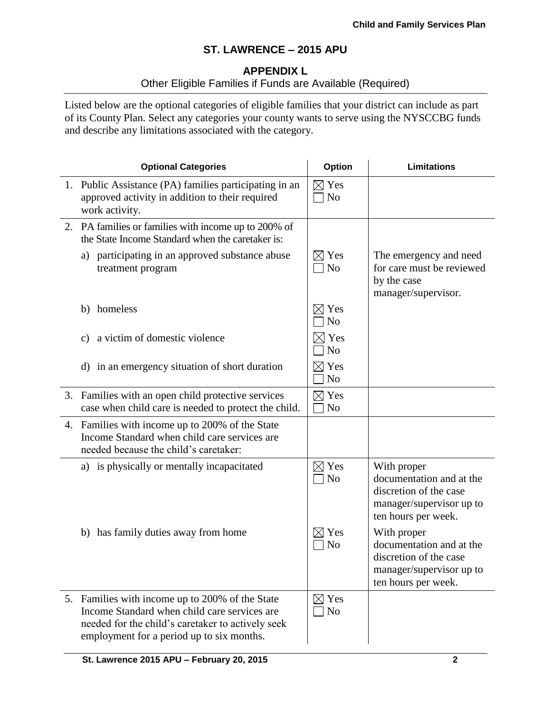## **APPENDIX L**

# Other Eligible Families if Funds are Available (Required)

Listed below are the optional categories of eligible families that your district can include as part of its County Plan. Select any categories your county wants to serve using the NYSCCBG funds and describe any limitations associated with the category.

| <b>Optional Categories</b>                                                                                                                                                                        | <b>Option</b>                     | <b>Limitations</b>                                                                                                   |
|---------------------------------------------------------------------------------------------------------------------------------------------------------------------------------------------------|-----------------------------------|----------------------------------------------------------------------------------------------------------------------|
| 1. Public Assistance (PA) families participating in an<br>approved activity in addition to their required<br>work activity.                                                                       | $\boxtimes$ Yes<br>$\neg$ No      |                                                                                                                      |
| 2. PA families or families with income up to 200% of<br>the State Income Standard when the caretaker is:                                                                                          |                                   |                                                                                                                      |
| a) participating in an approved substance abuse<br>treatment program                                                                                                                              | $\boxtimes$ Yes<br>$\Box$ No      | The emergency and need<br>for care must be reviewed<br>by the case<br>manager/supervisor.                            |
| b) homeless                                                                                                                                                                                       | $\boxtimes$ Yes<br>N <sub>o</sub> |                                                                                                                      |
| a victim of domestic violence<br>C)                                                                                                                                                               | $\times$ l Yes<br>N <sub>o</sub>  |                                                                                                                      |
| d) in an emergency situation of short duration                                                                                                                                                    | $\boxtimes$ Yes<br>N <sub>o</sub> |                                                                                                                      |
| 3. Families with an open child protective services<br>case when child care is needed to protect the child.                                                                                        | $\boxtimes$ Yes<br>N <sub>o</sub> |                                                                                                                      |
| 4. Families with income up to 200% of the State<br>Income Standard when child care services are<br>needed because the child's caretaker:                                                          |                                   |                                                                                                                      |
| a) is physically or mentally incapacitated                                                                                                                                                        | $\boxtimes$ Yes<br>$\Box$ No      | With proper<br>documentation and at the<br>discretion of the case<br>manager/supervisor up to<br>ten hours per week. |
| b) has family duties away from home                                                                                                                                                               | Yes<br>N <sub>o</sub>             | With proper<br>documentation and at the<br>discretion of the case<br>manager/supervisor up to<br>ten hours per week. |
| 5. Families with income up to 200% of the State<br>Income Standard when child care services are<br>needed for the child's caretaker to actively seek<br>employment for a period up to six months. | $\boxtimes$ Yes<br>$\exists$ No   |                                                                                                                      |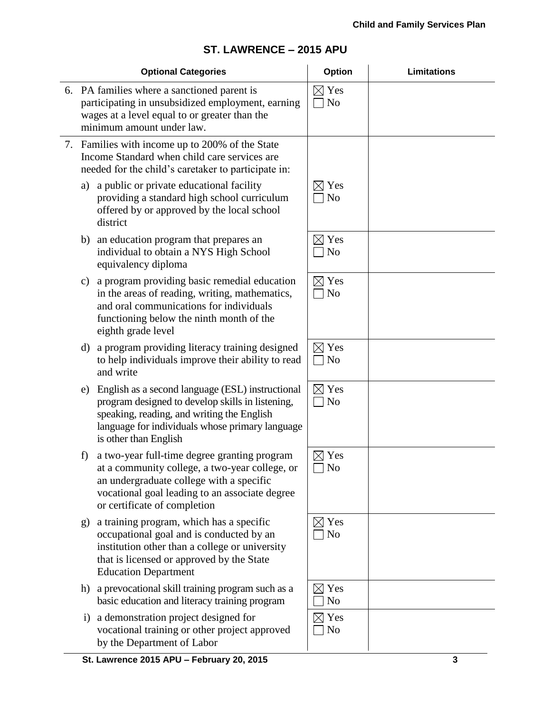|  |  | ST. LAWRENCE - 2015 APU |
|--|--|-------------------------|
|--|--|-------------------------|

|                                                                                                                                                                                | <b>Optional Categories</b>                                                                                                                                                                                                     | Option                              | <b>Limitations</b> |
|--------------------------------------------------------------------------------------------------------------------------------------------------------------------------------|--------------------------------------------------------------------------------------------------------------------------------------------------------------------------------------------------------------------------------|-------------------------------------|--------------------|
| 6. PA families where a sanctioned parent is<br>participating in unsubsidized employment, earning<br>wages at a level equal to or greater than the<br>minimum amount under law. |                                                                                                                                                                                                                                | $\boxtimes$ Yes<br>N <sub>o</sub>   |                    |
|                                                                                                                                                                                | 7. Families with income up to 200% of the State<br>Income Standard when child care services are<br>needed for the child's caretaker to participate in:                                                                         |                                     |                    |
| a)                                                                                                                                                                             | a public or private educational facility<br>providing a standard high school curriculum<br>offered by or approved by the local school<br>district                                                                              | $\boxtimes$ Yes<br>N <sub>o</sub>   |                    |
| b)                                                                                                                                                                             | an education program that prepares an<br>individual to obtain a NYS High School<br>equivalency diploma                                                                                                                         | Yes<br>$\times$ l<br>N <sub>o</sub> |                    |
| $\mathbf{c})$                                                                                                                                                                  | a program providing basic remedial education<br>in the areas of reading, writing, mathematics,<br>and oral communications for individuals<br>functioning below the ninth month of the<br>eighth grade level                    | $\boxtimes$ Yes<br>N <sub>o</sub>   |                    |
| d)                                                                                                                                                                             | a program providing literacy training designed<br>to help individuals improve their ability to read<br>and write                                                                                                               | $\boxtimes$ Yes<br>N <sub>o</sub>   |                    |
| e)                                                                                                                                                                             | English as a second language (ESL) instructional<br>program designed to develop skills in listening,<br>speaking, reading, and writing the English<br>language for individuals whose primary language<br>is other than English | $\boxtimes$ Yes<br>N <sub>o</sub>   |                    |
| f)                                                                                                                                                                             | a two-year full-time degree granting program<br>at a community college, a two-year college, or<br>an undergraduate college with a specific<br>vocational goal leading to an associate degree<br>or certificate of completion   | Yes<br>$\Box$ No                    |                    |
| g)                                                                                                                                                                             | a training program, which has a specific<br>occupational goal and is conducted by an<br>institution other than a college or university<br>that is licensed or approved by the State<br><b>Education Department</b>             | Yes<br>N <sub>o</sub>               |                    |
| h)                                                                                                                                                                             | a prevocational skill training program such as a<br>basic education and literacy training program                                                                                                                              | $\boxtimes$ Yes<br>N <sub>0</sub>   |                    |
| i)                                                                                                                                                                             | a demonstration project designed for<br>vocational training or other project approved<br>by the Department of Labor                                                                                                            | $\boxtimes$ Yes<br>N <sub>o</sub>   |                    |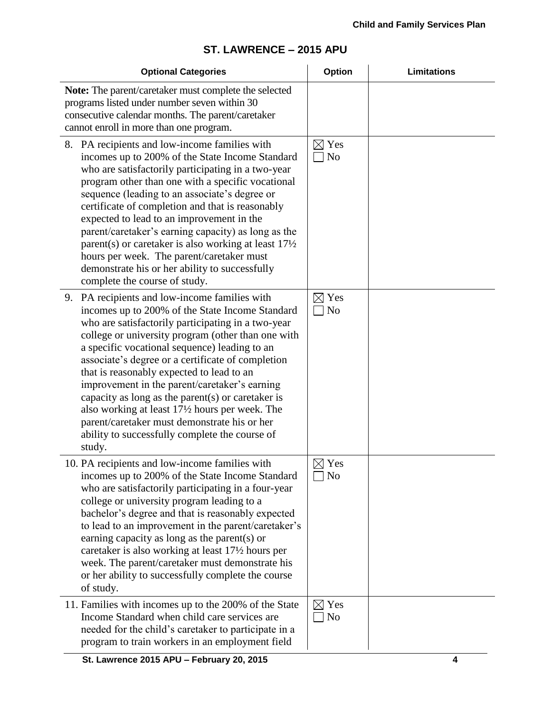| <b>Optional Categories</b>                                                                                                                                                                                                                                                                                                                                                                                                                                                                                                                                                                                                            | Option                            | <b>Limitations</b> |
|---------------------------------------------------------------------------------------------------------------------------------------------------------------------------------------------------------------------------------------------------------------------------------------------------------------------------------------------------------------------------------------------------------------------------------------------------------------------------------------------------------------------------------------------------------------------------------------------------------------------------------------|-----------------------------------|--------------------|
| Note: The parent/caretaker must complete the selected<br>programs listed under number seven within 30<br>consecutive calendar months. The parent/caretaker<br>cannot enroll in more than one program.                                                                                                                                                                                                                                                                                                                                                                                                                                 |                                   |                    |
| 8. PA recipients and low-income families with<br>incomes up to 200% of the State Income Standard<br>who are satisfactorily participating in a two-year<br>program other than one with a specific vocational<br>sequence (leading to an associate's degree or<br>certificate of completion and that is reasonably<br>expected to lead to an improvement in the<br>parent/caretaker's earning capacity) as long as the<br>parent(s) or caretaker is also working at least $17\frac{1}{2}$<br>hours per week. The parent/caretaker must<br>demonstrate his or her ability to successfully<br>complete the course of study.               | $\boxtimes$ Yes<br>7 No           |                    |
| 9. PA recipients and low-income families with<br>incomes up to 200% of the State Income Standard<br>who are satisfactorily participating in a two-year<br>college or university program (other than one with<br>a specific vocational sequence) leading to an<br>associate's degree or a certificate of completion<br>that is reasonably expected to lead to an<br>improvement in the parent/caretaker's earning<br>capacity as long as the parent $(s)$ or caretaker is<br>also working at least 17½ hours per week. The<br>parent/caretaker must demonstrate his or her<br>ability to successfully complete the course of<br>study. | $\boxtimes$ Yes<br>No             |                    |
| 10. PA recipients and low-income families with<br>incomes up to 200% of the State Income Standard<br>who are satisfactorily participating in a four-year<br>college or university program leading to a<br>bachelor's degree and that is reasonably expected<br>to lead to an improvement in the parent/caretaker's<br>earning capacity as long as the parent(s) or<br>caretaker is also working at least 17 <sup>1</sup> / <sub>2</sub> hours per<br>week. The parent/caretaker must demonstrate his<br>or her ability to successfully complete the course<br>of study.                                                               | $\boxtimes$ Yes<br>No             |                    |
| 11. Families with incomes up to the 200% of the State<br>Income Standard when child care services are<br>needed for the child's caretaker to participate in a<br>program to train workers in an employment field                                                                                                                                                                                                                                                                                                                                                                                                                      | $\boxtimes$ Yes<br>N <sub>o</sub> |                    |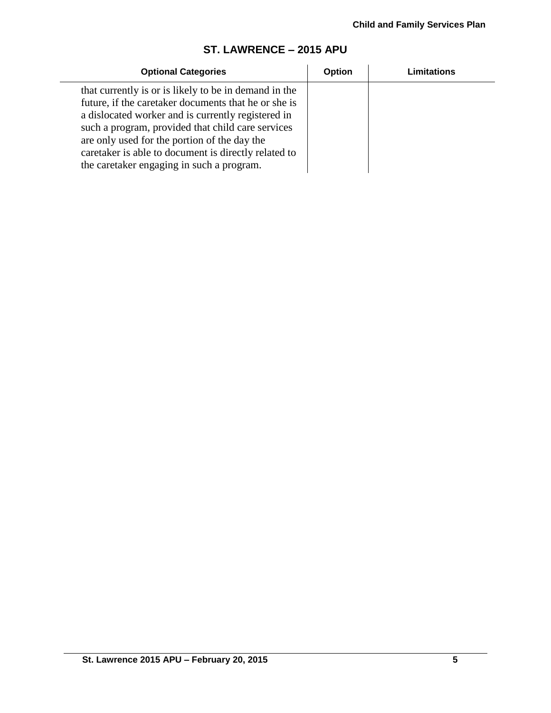| <b>Optional Categories</b>                                                                                                                                                                                                                                                                                                                                                    | <b>Option</b> | Limitations |
|-------------------------------------------------------------------------------------------------------------------------------------------------------------------------------------------------------------------------------------------------------------------------------------------------------------------------------------------------------------------------------|---------------|-------------|
| that currently is or is likely to be in demand in the<br>future, if the caretaker documents that he or she is<br>a dislocated worker and is currently registered in<br>such a program, provided that child care services<br>are only used for the portion of the day the<br>caretaker is able to document is directly related to<br>the caretaker engaging in such a program. |               |             |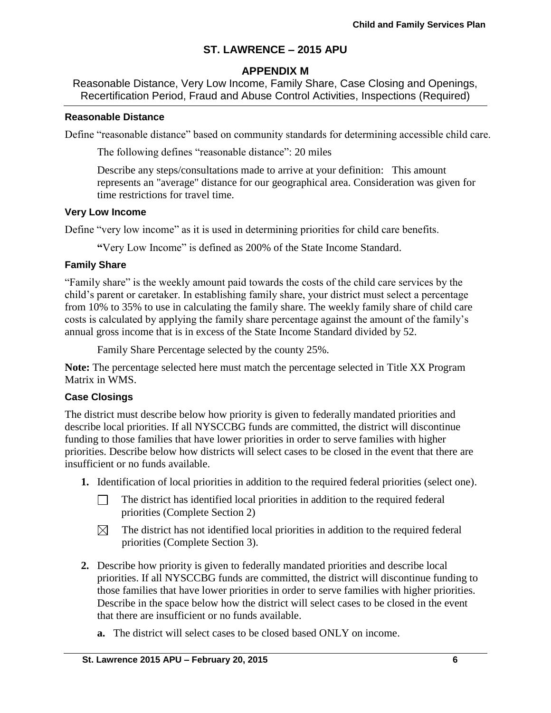## **APPENDIX M**

Reasonable Distance, Very Low Income, Family Share, Case Closing and Openings, Recertification Period, Fraud and Abuse Control Activities, Inspections (Required)

#### **Reasonable Distance**

Define "reasonable distance" based on community standards for determining accessible child care.

The following defines "reasonable distance": 20 miles

Describe any steps/consultations made to arrive at your definition: This amount represents an "average" distance for our geographical area. Consideration was given for time restrictions for travel time.

#### **Very Low Income**

Define "very low income" as it is used in determining priorities for child care benefits.

**"**Very Low Income" is defined as 200% of the State Income Standard.

#### **Family Share**

"Family share" is the weekly amount paid towards the costs of the child care services by the child's parent or caretaker. In establishing family share, your district must select a percentage from 10% to 35% to use in calculating the family share. The weekly family share of child care costs is calculated by applying the family share percentage against the amount of the family's annual gross income that is in excess of the State Income Standard divided by 52.

Family Share Percentage selected by the county 25%.

**Note:** The percentage selected here must match the percentage selected in Title XX Program Matrix in WMS.

#### **Case Closings**

The district must describe below how priority is given to federally mandated priorities and describe local priorities. If all NYSCCBG funds are committed, the district will discontinue funding to those families that have lower priorities in order to serve families with higher priorities. Describe below how districts will select cases to be closed in the event that there are insufficient or no funds available.

- **1.** Identification of local priorities in addition to the required federal priorities (select one).
	- The district has identified local priorities in addition to the required federal П. priorities (Complete Section 2)
	- The district has not identified local priorities in addition to the required federal ⊠ priorities (Complete Section 3).
- **2.** Describe how priority is given to federally mandated priorities and describe local priorities. If all NYSCCBG funds are committed, the district will discontinue funding to those families that have lower priorities in order to serve families with higher priorities. Describe in the space below how the district will select cases to be closed in the event that there are insufficient or no funds available.
	- **a.** The district will select cases to be closed based ONLY on income.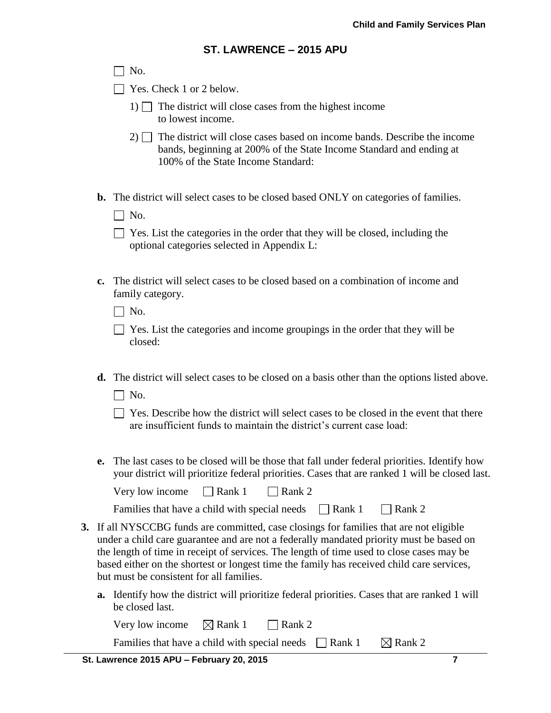|    |    | ST. LAWRENCE – 2015 APU                                                                                                                                                                                                                                                                                                                                                                                              |
|----|----|----------------------------------------------------------------------------------------------------------------------------------------------------------------------------------------------------------------------------------------------------------------------------------------------------------------------------------------------------------------------------------------------------------------------|
|    |    | No.                                                                                                                                                                                                                                                                                                                                                                                                                  |
|    |    | Yes. Check 1 or 2 below.                                                                                                                                                                                                                                                                                                                                                                                             |
|    |    | 1) $\Box$ The district will close cases from the highest income<br>to lowest income.                                                                                                                                                                                                                                                                                                                                 |
|    |    | $2)$ The district will close cases based on income bands. Describe the income<br>bands, beginning at 200% of the State Income Standard and ending at<br>100% of the State Income Standard:                                                                                                                                                                                                                           |
|    | b. | The district will select cases to be closed based ONLY on categories of families.<br>$\Box$ No.                                                                                                                                                                                                                                                                                                                      |
|    |    | Yes. List the categories in the order that they will be closed, including the<br>optional categories selected in Appendix L:                                                                                                                                                                                                                                                                                         |
|    | c. | The district will select cases to be closed based on a combination of income and<br>family category.                                                                                                                                                                                                                                                                                                                 |
|    |    | $\Box$ No.                                                                                                                                                                                                                                                                                                                                                                                                           |
|    |    | Yes. List the categories and income groupings in the order that they will be<br>closed:                                                                                                                                                                                                                                                                                                                              |
|    | d. | The district will select cases to be closed on a basis other than the options listed above.<br>$\Box$ No.                                                                                                                                                                                                                                                                                                            |
|    |    | Yes. Describe how the district will select cases to be closed in the event that there<br>are insufficient funds to maintain the district's current case load:                                                                                                                                                                                                                                                        |
|    | e. | The last cases to be closed will be those that fall under federal priorities. Identify how<br>your district will prioritize federal priorities. Cases that are ranked 1 will be closed last.                                                                                                                                                                                                                         |
|    |    | $\Box$ Rank 1<br>Rank 2<br>Very low income                                                                                                                                                                                                                                                                                                                                                                           |
|    |    | Families that have a child with special needs<br>$\Box$ Rank 1<br>Rank 2                                                                                                                                                                                                                                                                                                                                             |
| 3. |    | If all NYSCCBG funds are committed, case closings for families that are not eligible<br>under a child care guarantee and are not a federally mandated priority must be based on<br>the length of time in receipt of services. The length of time used to close cases may be<br>based either on the shortest or longest time the family has received child care services,<br>but must be consistent for all families. |
|    |    | <b>a.</b> Identify how the district will prioritize federal priorities. Cases that are ranked 1 will<br>be closed last.                                                                                                                                                                                                                                                                                              |
|    |    | Very low income<br>$\boxtimes$ Rank 1<br>Rank 2                                                                                                                                                                                                                                                                                                                                                                      |
|    |    | Families that have a child with special needs<br>$\boxtimes$ Rank 2<br>Rank 1                                                                                                                                                                                                                                                                                                                                        |

 **St. Lawrence 2015 APU – February 20, 2015 7**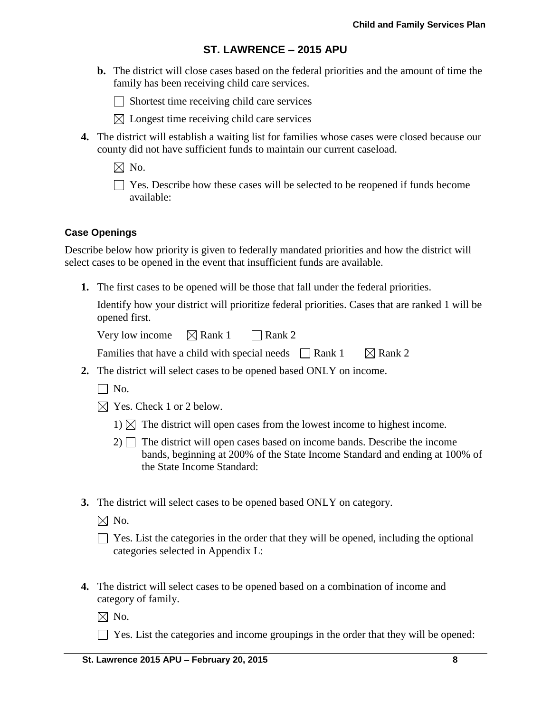**b.** The district will close cases based on the federal priorities and the amount of time the family has been receiving child care services.

 $\Box$  Shortest time receiving child care services

- $\boxtimes$  Longest time receiving child care services
- **4.** The district will establish a waiting list for families whose cases were closed because our county did not have sufficient funds to maintain our current caseload.

 $\boxtimes$  No.

Yes. Describe how these cases will be selected to be reopened if funds become available:

#### **Case Openings**

Describe below how priority is given to federally mandated priorities and how the district will select cases to be opened in the event that insufficient funds are available.

**1.** The first cases to be opened will be those that fall under the federal priorities.

Identify how your district will prioritize federal priorities. Cases that are ranked 1 will be opened first.

Very low income  $\boxtimes$  Rank 1  $\Box$  Rank 2

Families that have a child with special needs  $\Box$  Rank 1  $\Box$  Rank 2

- **2.** The district will select cases to be opened based ONLY on income.
	- $\Box$  No.
	- $\boxtimes$  Yes. Check 1 or 2 below.
		- 1)  $\boxtimes$  The district will open cases from the lowest income to highest income.
		- $2)$  The district will open cases based on income bands. Describe the income bands, beginning at 200% of the State Income Standard and ending at 100% of the State Income Standard:
- **3.** The district will select cases to be opened based ONLY on category.

 $\boxtimes$  No.

| $\Box$ Yes. List the categories in the order that they will be opened, including the optional |  |  |
|-----------------------------------------------------------------------------------------------|--|--|
| categories selected in Appendix L:                                                            |  |  |

**4.** The district will select cases to be opened based on a combination of income and category of family.

 $\boxtimes$  No.

 $\Box$  Yes. List the categories and income groupings in the order that they will be opened: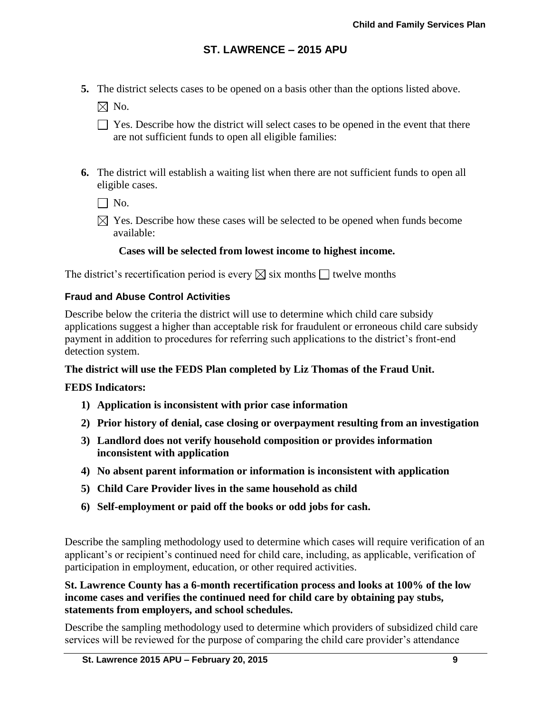**5.** The district selects cases to be opened on a basis other than the options listed above.

 $\boxtimes$  No.

- $\Box$  Yes. Describe how the district will select cases to be opened in the event that there are not sufficient funds to open all eligible families:
- **6.** The district will establish a waiting list when there are not sufficient funds to open all eligible cases.

 $\Box$  No.

 $\boxtimes$  Yes. Describe how these cases will be selected to be opened when funds become available:

## **Cases will be selected from lowest income to highest income.**

The district's recertification period is every  $\boxtimes$  six months  $\Box$  twelve months

## **Fraud and Abuse Control Activities**

Describe below the criteria the district will use to determine which child care subsidy applications suggest a higher than acceptable risk for fraudulent or erroneous child care subsidy payment in addition to procedures for referring such applications to the district's front-end detection system.

## **The district will use the FEDS Plan completed by Liz Thomas of the Fraud Unit.**

## **FEDS Indicators:**

- **1) Application is inconsistent with prior case information**
- **2) Prior history of denial, case closing or overpayment resulting from an investigation**
- **3) Landlord does not verify household composition or provides information inconsistent with application**
- **4) No absent parent information or information is inconsistent with application**
- **5) Child Care Provider lives in the same household as child**
- **6) Self-employment or paid off the books or odd jobs for cash.**

Describe the sampling methodology used to determine which cases will require verification of an applicant's or recipient's continued need for child care, including, as applicable, verification of participation in employment, education, or other required activities.

#### **St. Lawrence County has a 6-month recertification process and looks at 100% of the low income cases and verifies the continued need for child care by obtaining pay stubs, statements from employers, and school schedules.**

Describe the sampling methodology used to determine which providers of subsidized child care services will be reviewed for the purpose of comparing the child care provider's attendance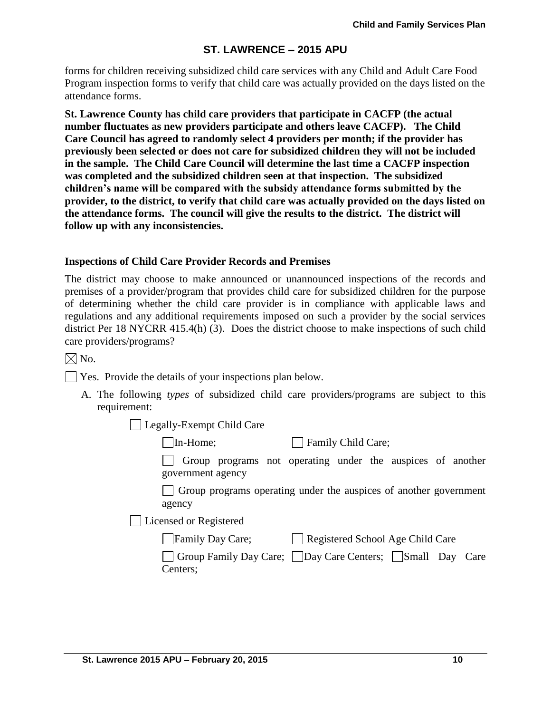forms for children receiving subsidized child care services with any Child and Adult Care Food Program inspection forms to verify that child care was actually provided on the days listed on the attendance forms.

**St. Lawrence County has child care providers that participate in CACFP (the actual number fluctuates as new providers participate and others leave CACFP). The Child Care Council has agreed to randomly select 4 providers per month; if the provider has previously been selected or does not care for subsidized children they will not be included in the sample. The Child Care Council will determine the last time a CACFP inspection was completed and the subsidized children seen at that inspection. The subsidized children's name will be compared with the subsidy attendance forms submitted by the provider, to the district, to verify that child care was actually provided on the days listed on the attendance forms. The council will give the results to the district. The district will follow up with any inconsistencies.**

#### **Inspections of Child Care Provider Records and Premises**

The district may choose to make announced or unannounced inspections of the records and premises of a provider/program that provides child care for subsidized children for the purpose of determining whether the child care provider is in compliance with applicable laws and regulations and any additional requirements imposed on such a provider by the social services district Per 18 NYCRR 415.4(h) (3). Does the district choose to make inspections of such child care providers/programs?

 $\boxtimes$  No.

 $\Box$  Yes. Provide the details of your inspections plan below.

A. The following *types* of subsidized child care providers/programs are subject to this requirement:

Legally-Exempt Child Care

In-Home; Family Child Care;

Group programs not operating under the auspices of another government agency

Group programs operating under the auspices of another government agency

Licensed or Registered

| Family Day Care; | Registered School Age Child Care |
|------------------|----------------------------------|
|------------------|----------------------------------|

| Group Family Day Care; Day Care Centers; Small Day Care |  |  |
|---------------------------------------------------------|--|--|
| Centers;                                                |  |  |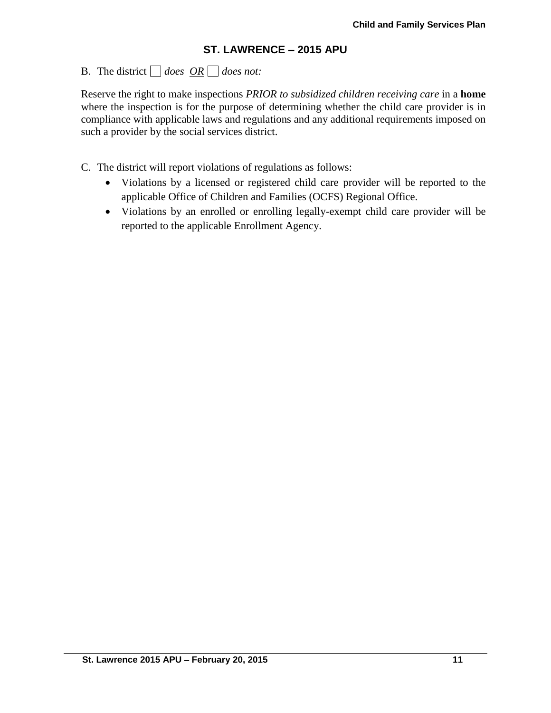# B. The district  $\Box$  does  $\overline{OR} \Box$  does not:

Reserve the right to make inspections *PRIOR to subsidized children receiving care* in a **home** where the inspection is for the purpose of determining whether the child care provider is in compliance with applicable laws and regulations and any additional requirements imposed on such a provider by the social services district.

C. The district will report violations of regulations as follows:

- Violations by a licensed or registered child care provider will be reported to the applicable Office of Children and Families (OCFS) Regional Office.
- Violations by an enrolled or enrolling legally-exempt child care provider will be reported to the applicable Enrollment Agency.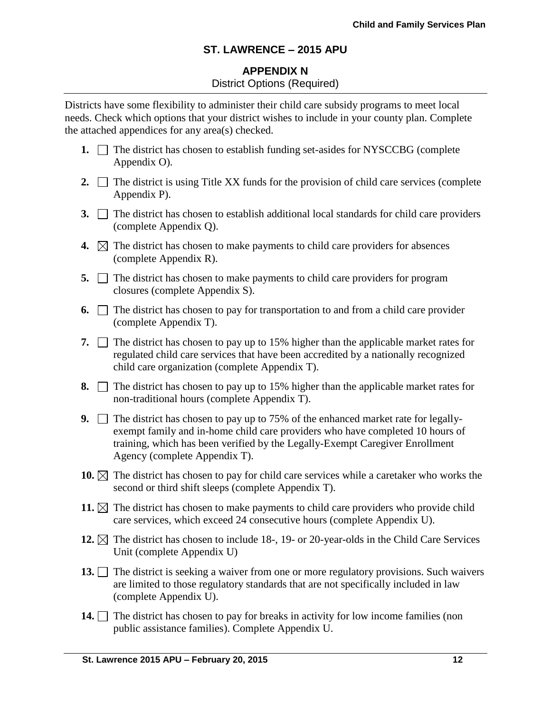## **APPENDIX N** District Options (Required)

Districts have some flexibility to administer their child care subsidy programs to meet local needs. Check which options that your district wishes to include in your county plan. Complete the attached appendices for any area(s) checked.

- **1.** The district has chosen to establish funding set-asides for NYSCCBG (complete) Appendix O).
- **2.**  $\Box$  The district is using Title XX funds for the provision of child care services (complete Appendix P).
- **3.**  $\Box$  The district has chosen to establish additional local standards for child care providers (complete Appendix Q).
- **4.**  $\boxtimes$  The district has chosen to make payments to child care providers for absences (complete Appendix R).
- **5.**  $\Box$  The district has chosen to make payments to child care providers for program closures (complete Appendix S).
- **6.**  $\Box$  The district has chosen to pay for transportation to and from a child care provider (complete Appendix T).
- **7.**  $\Box$  The district has chosen to pay up to 15% higher than the applicable market rates for regulated child care services that have been accredited by a nationally recognized child care organization (complete Appendix T).
- **8.**  $\Box$  The district has chosen to pay up to 15% higher than the applicable market rates for non-traditional hours (complete Appendix T).
- **9.** The district has chosen to pay up to 75% of the enhanced market rate for legallyexempt family and in-home child care providers who have completed 10 hours of training, which has been verified by the Legally-Exempt Caregiver Enrollment Agency (complete Appendix T).
- **10.**  $\boxtimes$  The district has chosen to pay for child care services while a caretaker who works the second or third shift sleeps (complete Appendix T).
- **11.**  $\boxtimes$  The district has chosen to make payments to child care providers who provide child care services, which exceed 24 consecutive hours (complete Appendix U).
- **12.**  $\boxtimes$  The district has chosen to include 18-, 19- or 20-year-olds in the Child Care Services Unit (complete Appendix U)
- 13. The district is seeking a waiver from one or more regulatory provisions. Such waivers are limited to those regulatory standards that are not specifically included in law (complete Appendix U).
- **14.** The district has chosen to pay for breaks in activity for low income families (non public assistance families). Complete Appendix U.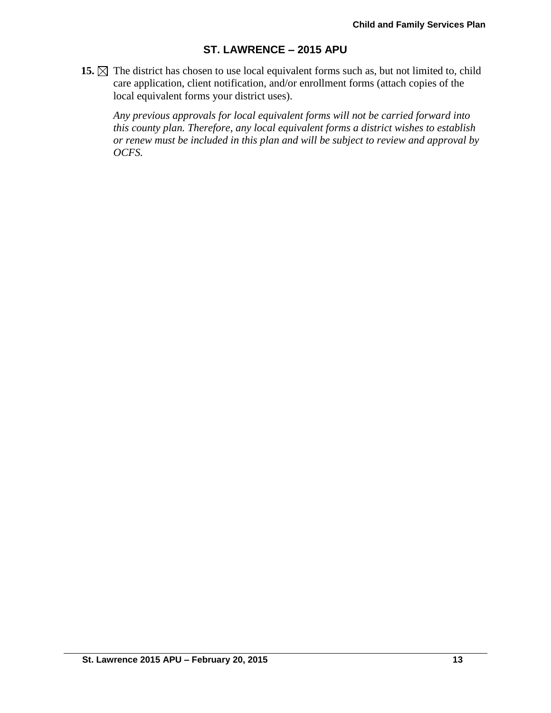**15.**  $\boxtimes$  The district has chosen to use local equivalent forms such as, but not limited to, child care application, client notification, and/or enrollment forms (attach copies of the local equivalent forms your district uses).

*Any previous approvals for local equivalent forms will not be carried forward into this county plan. Therefore, any local equivalent forms a district wishes to establish or renew must be included in this plan and will be subject to review and approval by OCFS.*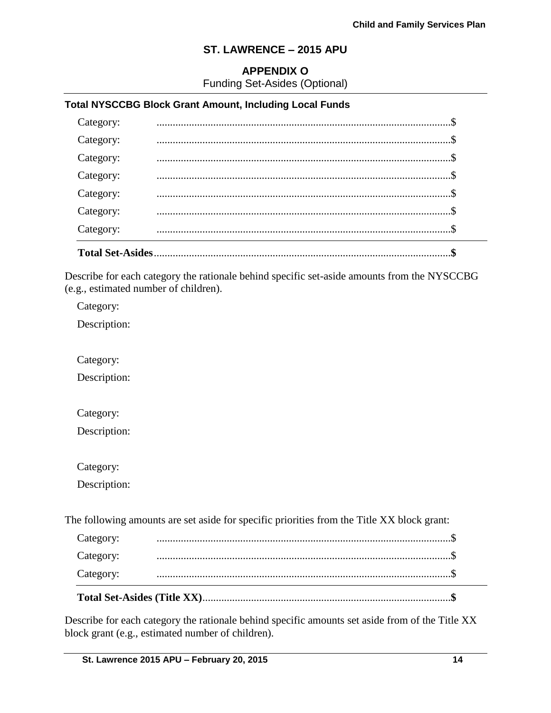#### **APPENDIX O**

Funding Set-Asides (Optional)

#### **Total NYSCCBG Block Grant Amount, Including Local Funds**

| Category:               |  |
|-------------------------|--|
| Category:               |  |
| Category:               |  |
| Category:               |  |
| Category:               |  |
| Category:               |  |
| Category:               |  |
| <b>Total Set-Asides</b> |  |

Describe for each category the rationale behind specific set-aside amounts from the NYSCCBG (e.g., estimated number of children).

Category:

Description:

Category:

Description:

Category:

Description:

Category:

Description:

The following amounts are set aside for specific priorities from the Title XX block grant:

| Category: |  |
|-----------|--|
| Category: |  |
| Category: |  |

Describe for each category the rationale behind specific amounts set aside from of the Title XX block grant (e.g., estimated number of children).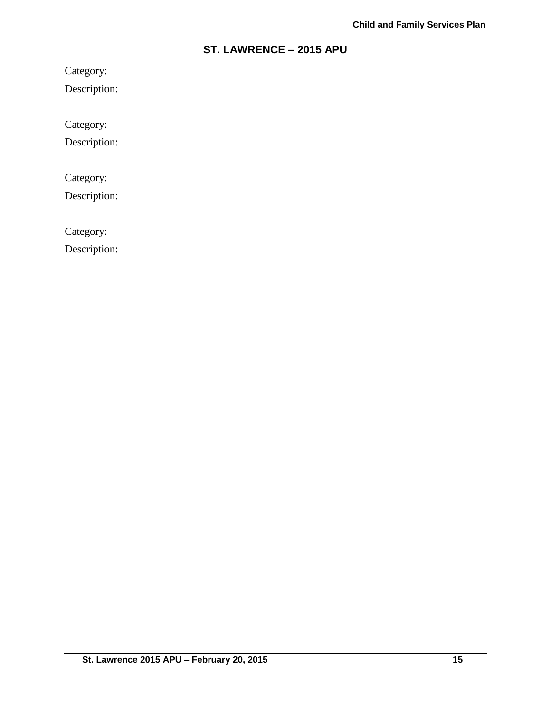Category:

Description:

Category:

Description:

Category:

Description:

Category:

Description: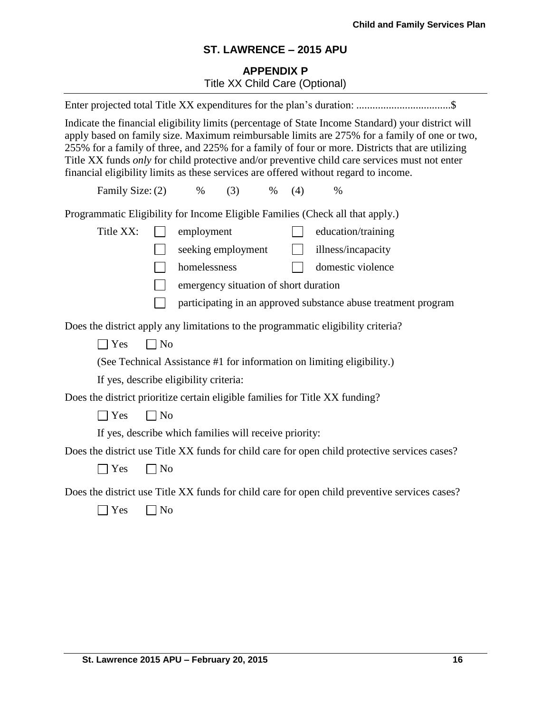# **APPENDIX P** Title XX Child Care (Optional)

| Indicate the financial eligibility limits (percentage of State Income Standard) your district will<br>apply based on family size. Maximum reimbursable limits are 275% for a family of one or two,<br>255% for a family of three, and 225% for a family of four or more. Districts that are utilizing<br>Title XX funds only for child protective and/or preventive child care services must not enter<br>financial eligibility limits as these services are offered without regard to income. |  |
|------------------------------------------------------------------------------------------------------------------------------------------------------------------------------------------------------------------------------------------------------------------------------------------------------------------------------------------------------------------------------------------------------------------------------------------------------------------------------------------------|--|
| Family Size: (2)<br>$\%$<br>(3)<br>$\%$<br>(4)<br>$\%$                                                                                                                                                                                                                                                                                                                                                                                                                                         |  |
| Programmatic Eligibility for Income Eligible Families (Check all that apply.)                                                                                                                                                                                                                                                                                                                                                                                                                  |  |
| Title XX:<br>education/training<br>employment                                                                                                                                                                                                                                                                                                                                                                                                                                                  |  |
| seeking employment<br>$\Box$<br>illness/incapacity                                                                                                                                                                                                                                                                                                                                                                                                                                             |  |
| homelessness<br>domestic violence<br>$\mathcal{L}^{\text{max}}_{\text{max}}$                                                                                                                                                                                                                                                                                                                                                                                                                   |  |
| emergency situation of short duration                                                                                                                                                                                                                                                                                                                                                                                                                                                          |  |
| participating in an approved substance abuse treatment program                                                                                                                                                                                                                                                                                                                                                                                                                                 |  |
| Does the district apply any limitations to the programmatic eligibility criteria?                                                                                                                                                                                                                                                                                                                                                                                                              |  |
| $\Box$ No<br>$\Box$ Yes                                                                                                                                                                                                                                                                                                                                                                                                                                                                        |  |
| (See Technical Assistance #1 for information on limiting eligibility.)                                                                                                                                                                                                                                                                                                                                                                                                                         |  |
| If yes, describe eligibility criteria:                                                                                                                                                                                                                                                                                                                                                                                                                                                         |  |
| Does the district prioritize certain eligible families for Title XX funding?                                                                                                                                                                                                                                                                                                                                                                                                                   |  |
| $\exists$ Yes<br>No                                                                                                                                                                                                                                                                                                                                                                                                                                                                            |  |
| If yes, describe which families will receive priority:                                                                                                                                                                                                                                                                                                                                                                                                                                         |  |
| Does the district use Title XX funds for child care for open child protective services cases?                                                                                                                                                                                                                                                                                                                                                                                                  |  |
| $\neg$ No<br>$\exists$ Yes                                                                                                                                                                                                                                                                                                                                                                                                                                                                     |  |
| Does the district use Title XX funds for child care for open child preventive services cases?                                                                                                                                                                                                                                                                                                                                                                                                  |  |
| Yes<br>N <sub>o</sub>                                                                                                                                                                                                                                                                                                                                                                                                                                                                          |  |
|                                                                                                                                                                                                                                                                                                                                                                                                                                                                                                |  |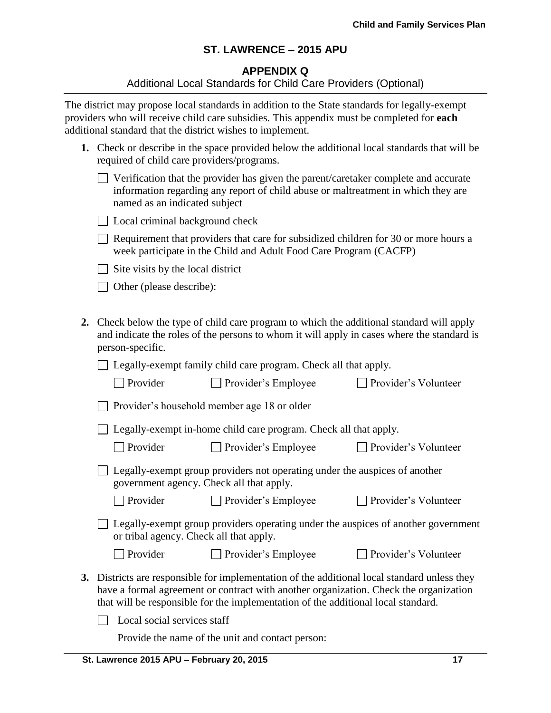#### **APPENDIX Q**

#### Additional Local Standards for Child Care Providers (Optional)

The district may propose local standards in addition to the State standards for legally-exempt providers who will receive child care subsidies. This appendix must be completed for **each** additional standard that the district wishes to implement.

| 1. Check or describe in the space provided below the additional local standards that will be |
|----------------------------------------------------------------------------------------------|
| required of child care providers/programs.                                                   |

| $\Box$ Verification that the provider has given the parent/caretaker complete and accurate |
|--------------------------------------------------------------------------------------------|
| information regarding any report of child abuse or maltreatment in which they are          |
| named as an indicated subject                                                              |

| □ Local criminal background check |  |  |  |  |  |
|-----------------------------------|--|--|--|--|--|
|-----------------------------------|--|--|--|--|--|

 $\Box$  Requirement that providers that care for subsidized children for 30 or more hours a week participate in the Child and Adult Food Care Program (CACFP)

 $\Box$  Site visits by the local district

□ Other (please describe):

**2.** Check below the type of child care program to which the additional standard will apply and indicate the roles of the persons to whom it will apply in cases where the standard is person-specific.

□ Legally-exempt family child care program. Check all that apply.

| $\Box$ Provider | $\Box$ Provider's Employee | $\Box$ Provider's Volunteer |
|-----------------|----------------------------|-----------------------------|
|-----------------|----------------------------|-----------------------------|

Provider's household member age 18 or older

□ Legally-exempt in-home child care program. Check all that apply.

□ Provider Provider's Employee Provider's Volunteer

 $\Box$  Provider's Volunteer

| $\Box$ Legally-exempt group providers not operating under the auspices of another |
|-----------------------------------------------------------------------------------|
| government agency. Check all that apply.                                          |

Provider Provider's Employee Provider's Volunteer

 $\Box$  Legally-exempt group providers operating under the auspices of another government or tribal agency. Check all that apply.

| $\Box$ Provider | Provider's Employee |
|-----------------|---------------------|
|                 |                     |

**3.** Districts are responsible for implementation of the additional local standard unless they have a formal agreement or contract with another organization. Check the organization

that will be responsible for the implementation of the additional local standard.

 $\Box$  Local social services staff

Provide the name of the unit and contact person: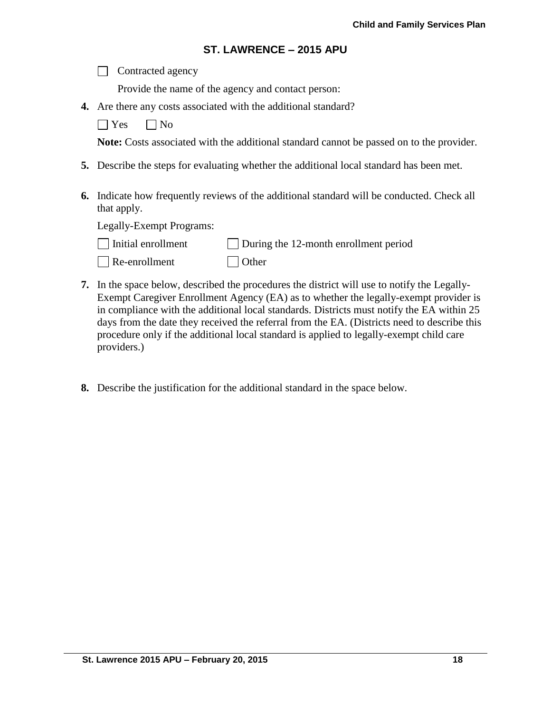| $\Box$ Contracted agency |
|--------------------------|
|--------------------------|

Provide the name of the agency and contact person:

**4.** Are there any costs associated with the additional standard?

 $\Box$  Yes  $\Box$  No

**Note:** Costs associated with the additional standard cannot be passed on to the provider.

- **5.** Describe the steps for evaluating whether the additional local standard has been met.
- **6.** Indicate how frequently reviews of the additional standard will be conducted. Check all that apply.

Legally-Exempt Programs:

| Initial enrollment | $\Box$ During the 12-month enrollment period |
|--------------------|----------------------------------------------|
|                    |                                              |

- Re-enrollment Other
- **7.** In the space below, described the procedures the district will use to notify the Legally-Exempt Caregiver Enrollment Agency (EA) as to whether the legally-exempt provider is in compliance with the additional local standards. Districts must notify the EA within 25 days from the date they received the referral from the EA. (Districts need to describe this procedure only if the additional local standard is applied to legally-exempt child care providers.)
- **8.** Describe the justification for the additional standard in the space below.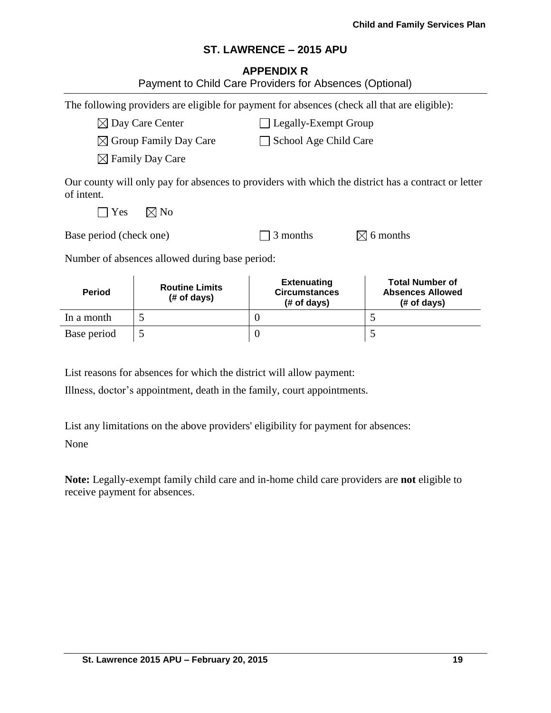#### **APPENDIX R**

| Payment to Child Care Providers for Absences (Optional) |                                                |                                                                                              |                                                                                                     |
|---------------------------------------------------------|------------------------------------------------|----------------------------------------------------------------------------------------------|-----------------------------------------------------------------------------------------------------|
|                                                         |                                                | The following providers are eligible for payment for absences (check all that are eligible): |                                                                                                     |
| $\boxtimes$ Day Care Center                             |                                                | <b>Legally-Exempt Group</b>                                                                  |                                                                                                     |
| $\boxtimes$ Group Family Day Care                       |                                                | School Age Child Care                                                                        |                                                                                                     |
|                                                         | $\boxtimes$ Family Day Care                    |                                                                                              |                                                                                                     |
| of intent.<br>Yes                                       | $\boxtimes$ No                                 |                                                                                              | Our county will only pay for absences to providers with which the district has a contract or letter |
| Base period (check one)                                 |                                                | 3 months                                                                                     | 6 months                                                                                            |
|                                                         | Number of absences allowed during base period: |                                                                                              |                                                                                                     |
| <b>Period</b>                                           | <b>Routine Limits</b><br># of days)            | <b>Extenuating</b><br><b>Circumstances</b><br>(# of days)                                    | <b>Total Number of</b><br><b>Absences Allowed</b><br>(# of days)                                    |
| In a month                                              | 5                                              | $\theta$                                                                                     | 5                                                                                                   |
| Base period                                             | 5                                              | $\boldsymbol{0}$                                                                             | 5                                                                                                   |

List reasons for absences for which the district will allow payment:

Illness, doctor's appointment, death in the family, court appointments.

List any limitations on the above providers' eligibility for payment for absences:

None

**Note:** Legally-exempt family child care and in-home child care providers are **not** eligible to receive payment for absences.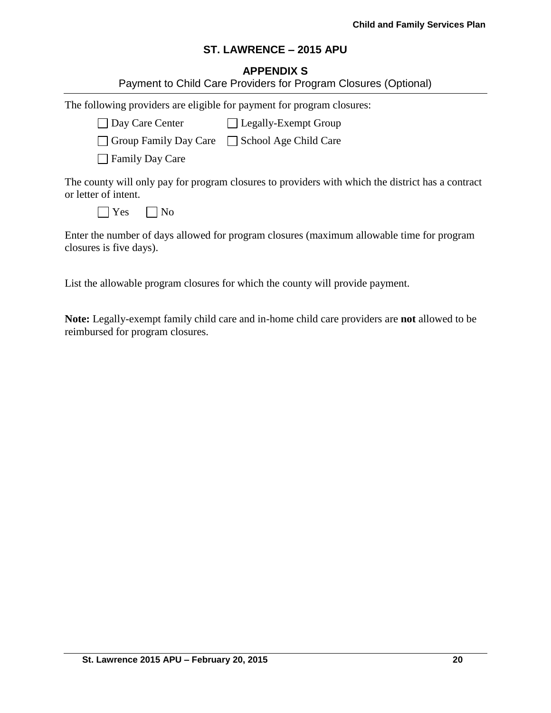## **APPENDIX S**

|                                                                        | Payment to Child Care Providers for Program Closures (Optional)                                   |
|------------------------------------------------------------------------|---------------------------------------------------------------------------------------------------|
| The following providers are eligible for payment for program closures: |                                                                                                   |
| Day Care Center Legally-Exempt Group                                   |                                                                                                   |
| Group Family Day Care School Age Child Care                            |                                                                                                   |
| Family Day Care                                                        |                                                                                                   |
| or letter of intent.                                                   | The county will only pay for program closures to providers with which the district has a contract |
| $\vert$ Yes<br>  No                                                    |                                                                                                   |
| closures is five days).                                                | Enter the number of days allowed for program closures (maximum allowable time for program         |

List the allowable program closures for which the county will provide payment.

**Note:** Legally-exempt family child care and in-home child care providers are **not** allowed to be reimbursed for program closures.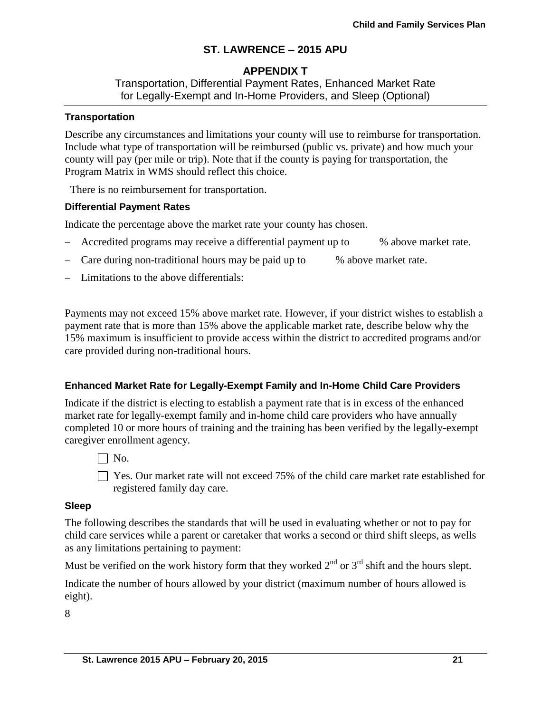## **APPENDIX T**

Transportation, Differential Payment Rates, Enhanced Market Rate for Legally-Exempt and In-Home Providers, and Sleep (Optional)

#### **Transportation**

Describe any circumstances and limitations your county will use to reimburse for transportation. Include what type of transportation will be reimbursed (public vs. private) and how much your county will pay (per mile or trip). Note that if the county is paying for transportation, the Program Matrix in WMS should reflect this choice.

There is no reimbursement for transportation.

#### **Differential Payment Rates**

Indicate the percentage above the market rate your county has chosen.

- Accredited programs may receive a differential payment up to % above market rate.
- Care during non-traditional hours may be paid up to % above market rate.
- Limitations to the above differentials:

Payments may not exceed 15% above market rate. However, if your district wishes to establish a payment rate that is more than 15% above the applicable market rate, describe below why the 15% maximum is insufficient to provide access within the district to accredited programs and/or care provided during non-traditional hours.

#### **Enhanced Market Rate for Legally-Exempt Family and In-Home Child Care Providers**

Indicate if the district is electing to establish a payment rate that is in excess of the enhanced market rate for legally-exempt family and in-home child care providers who have annually completed 10 or more hours of training and the training has been verified by the legally-exempt caregiver enrollment agency.

 $\Box$  No.

 $\Box$  Yes. Our market rate will not exceed 75% of the child care market rate established for registered family day care.

#### **Sleep**

The following describes the standards that will be used in evaluating whether or not to pay for child care services while a parent or caretaker that works a second or third shift sleeps, as wells as any limitations pertaining to payment:

Must be verified on the work history form that they worked  $2<sup>nd</sup>$  or  $3<sup>rd</sup>$  shift and the hours slept.

Indicate the number of hours allowed by your district (maximum number of hours allowed is eight).

8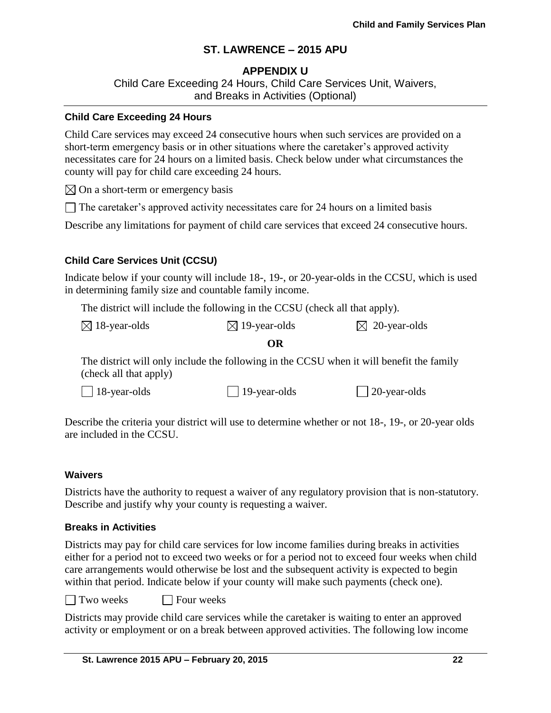## **APPENDIX U**

Child Care Exceeding 24 Hours, Child Care Services Unit, Waivers, and Breaks in Activities (Optional)

#### **Child Care Exceeding 24 Hours**

Child Care services may exceed 24 consecutive hours when such services are provided on a short-term emergency basis or in other situations where the caretaker's approved activity necessitates care for 24 hours on a limited basis. Check below under what circumstances the county will pay for child care exceeding 24 hours.

 $\boxtimes$  On a short-term or emergency basis

 $\Box$  The caretaker's approved activity necessitates care for 24 hours on a limited basis

Describe any limitations for payment of child care services that exceed 24 consecutive hours.

#### **Child Care Services Unit (CCSU)**

Indicate below if your county will include 18-, 19-, or 20-year-olds in the CCSU, which is used in determining family size and countable family income.

The district will include the following in the CCSU (check all that apply).

#### **OR**

The district will only include the following in the CCSU when it will benefit the family (check all that apply)

Describe the criteria your district will use to determine whether or not 18-, 19-, or 20-year olds are included in the CCSU.

#### **Waivers**

Districts have the authority to request a waiver of any regulatory provision that is non-statutory. Describe and justify why your county is requesting a waiver.

#### **Breaks in Activities**

Districts may pay for child care services for low income families during breaks in activities either for a period not to exceed two weeks or for a period not to exceed four weeks when child care arrangements would otherwise be lost and the subsequent activity is expected to begin within that period. Indicate below if your county will make such payments (check one).

 $\Box$  Two weeks  $\Box$  Four weeks

Districts may provide child care services while the caretaker is waiting to enter an approved activity or employment or on a break between approved activities. The following low income